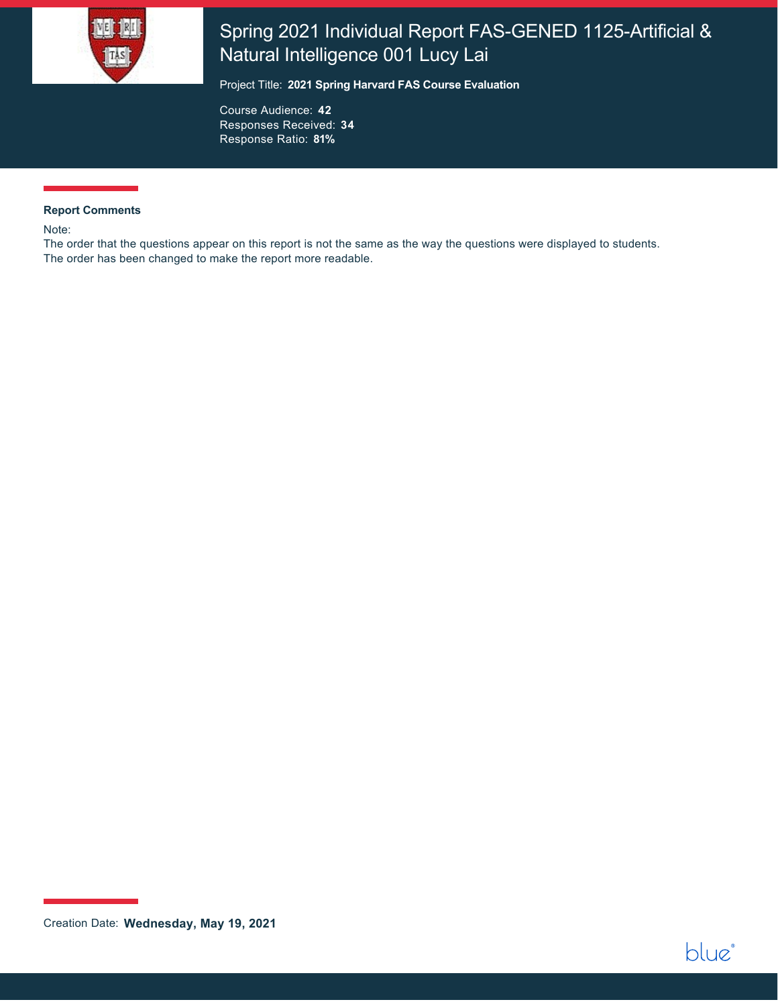

# Spring 2021 Individual Report FAS-GENED 1125-Artificial & Natural Intelligence 001 Lucy Lai

Project Title: **2021 Spring Harvard FAS Course Evaluation**

Course Audience: **42** Responses Received: **34** Response Ratio: **81%**

#### **Report Comments**

Note:

The order that the questions appear on this report is not the same as the way the questions were displayed to students. The order has been changed to make the report more readable.



Creation Date: **Wednesday, May 19, 2021**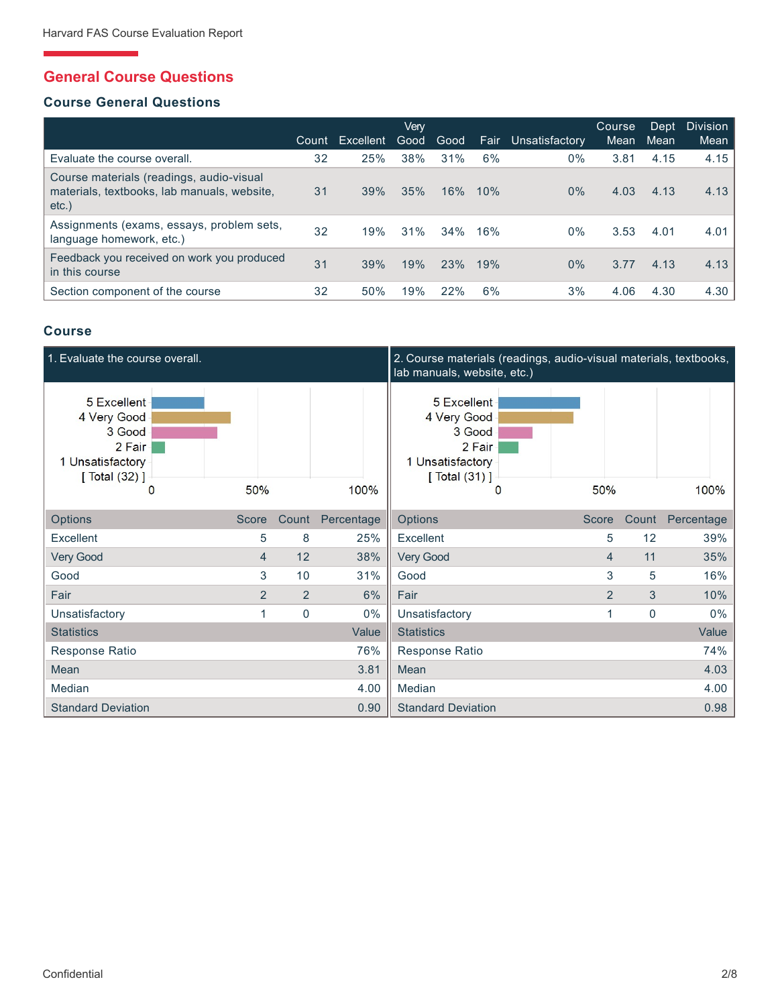# **General Course Questions**

### **Course General Questions**

|                                                                                                     | Count | Excellent | Verv<br>Good | Good | Fair | Unsatisfactory | Course<br>Mean | Dept<br>Mean | Division<br>Mean |
|-----------------------------------------------------------------------------------------------------|-------|-----------|--------------|------|------|----------------|----------------|--------------|------------------|
| Evaluate the course overall.                                                                        | 32    | 25%       | 38%          | 31%  | 6%   | $0\%$          | 3.81           | 4.15         | 4.15             |
| Course materials (readings, audio-visual<br>materials, textbooks, lab manuals, website,<br>$etc.$ ) | 31    | 39%       | 35%          | 16%  | 10%  | $0\%$          | 4.03           | 4.13         | 4.13             |
| Assignments (exams, essays, problem sets,<br>language homework, etc.)                               | 32    | 19%       | 31%          | 34%  | 16%  | $0\%$          | 3.53           | 4.01         | 4.01             |
| Feedback you received on work you produced<br>in this course                                        | 31    | 39%       | 19%          | 23%  | 19%  | $0\%$          | 3.77           | 4.13         | 4.13             |
| Section component of the course                                                                     | 32    | 50%       | 19%          | 22%  | 6%   | 3%             | 4.06           | 4.30         | 4.30             |

### **Course**

| 1. Evaluate the course overall.                                                             |                |                |            | 2. Course materials (readings, audio-visual materials, textbooks,<br>lab manuals, website, etc.) |                |       |            |
|---------------------------------------------------------------------------------------------|----------------|----------------|------------|--------------------------------------------------------------------------------------------------|----------------|-------|------------|
| 5 Excellent<br>4 Very Good<br>3 Good<br>2 Fair<br>1 Unsatisfactory<br>[ $Total (32)$ ]<br>0 | 50%            |                | 100%       | 5 Excellent<br>4 Very Good<br>3 Good<br>2 Fair<br>1 Unsatisfactory<br>[Total (31)]<br>$\Omega$   | 50%            |       | 100%       |
| Options                                                                                     | <b>Score</b>   | Count          | Percentage | Options                                                                                          | Score          | Count | Percentage |
| Excellent                                                                                   | 5              | 8              | 25%        | Excellent                                                                                        | 5              | 12    | 39%        |
| Very Good                                                                                   | 4              | 12             | 38%        | Very Good                                                                                        | $\overline{4}$ | 11    | 35%        |
| Good                                                                                        | 3              | 10             | 31%        | Good                                                                                             | 3              | 5     | 16%        |
| Fair                                                                                        | $\overline{2}$ | $\overline{2}$ | 6%         | Fair                                                                                             | $\overline{2}$ | 3     | 10%        |
| Unsatisfactory                                                                              |                | $\mathbf 0$    | $0\%$      | Unsatisfactory                                                                                   |                | 0     | $0\%$      |
| <b>Statistics</b>                                                                           |                |                | Value      | <b>Statistics</b>                                                                                |                |       | Value      |
| Response Ratio                                                                              |                |                | 76%        | Response Ratio                                                                                   |                |       | 74%        |
| Mean                                                                                        |                |                | 3.81       | Mean                                                                                             |                |       | 4.03       |
| Median                                                                                      |                |                | 4.00       | Median                                                                                           |                |       | 4.00       |
| <b>Standard Deviation</b>                                                                   |                |                | 0.90       | <b>Standard Deviation</b>                                                                        |                |       | 0.98       |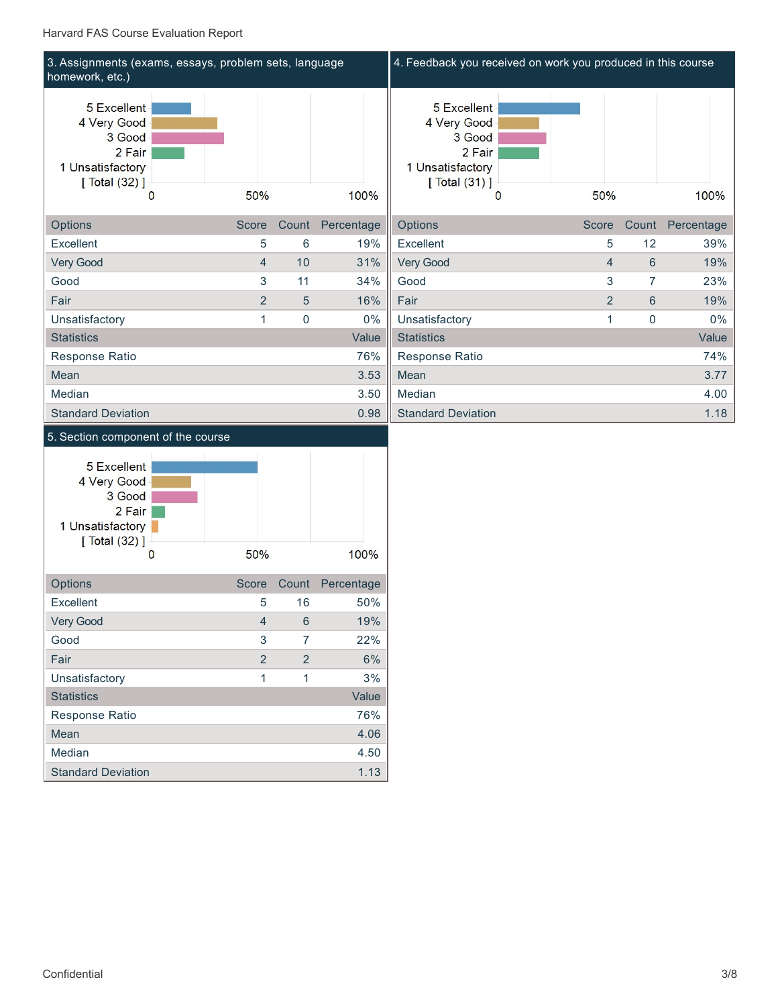#### Harvard FAS Course Evaluation Report

| 3. Assignments (exams, essays, problem sets, language<br>homework, etc.)                  |                |                |            | 4. Feedback you received on work you produced in this course                                   |                |                |            |
|-------------------------------------------------------------------------------------------|----------------|----------------|------------|------------------------------------------------------------------------------------------------|----------------|----------------|------------|
| 5 Excellent<br>4 Very Good<br>3 Good<br>2 Fair<br>1 Unsatisfactory<br>[ Total (32) ]<br>0 | 50%            |                | 100%       | 5 Excellent<br>4 Very Good<br>3 Good<br>2 Fair<br>1 Unsatisfactory<br>[Total (31)]<br>$\Omega$ | 50%            |                | 100%       |
| Options                                                                                   | <b>Score</b>   | Count          | Percentage | Options                                                                                        | <b>Score</b>   | Count          | Percentage |
| Excellent                                                                                 | 5              | 6              | 19%        | Excellent                                                                                      | 5              | 12             | 39%        |
| Very Good                                                                                 | $\overline{4}$ | 10             | 31%        | Very Good                                                                                      | 4              | 6              | 19%        |
| Good                                                                                      | 3              | 11             | 34%        | Good                                                                                           | 3              | $\overline{7}$ | 23%        |
| Fair                                                                                      | $\overline{2}$ | 5              | 16%        | Fair                                                                                           | $\overline{2}$ | 6              | 19%        |
| Unsatisfactory                                                                            |                | $\overline{0}$ | $0\%$      | Unsatisfactory                                                                                 |                | 0              | $0\%$      |
| <b>Statistics</b>                                                                         |                |                | Value      | <b>Statistics</b>                                                                              |                |                | Value      |
| Response Ratio                                                                            |                |                | 76%        | Response Ratio                                                                                 |                |                | 74%        |
| Mean                                                                                      |                |                | 3.53       | Mean                                                                                           |                |                | 3.77       |
| Median                                                                                    |                |                | 3.50       | Median                                                                                         |                |                | 4.00       |
| <b>Standard Deviation</b>                                                                 |                |                | 0.98       | <b>Standard Deviation</b>                                                                      |                |                | 1.18       |
| 5. Section component of the course                                                        |                |                |            |                                                                                                |                |                |            |

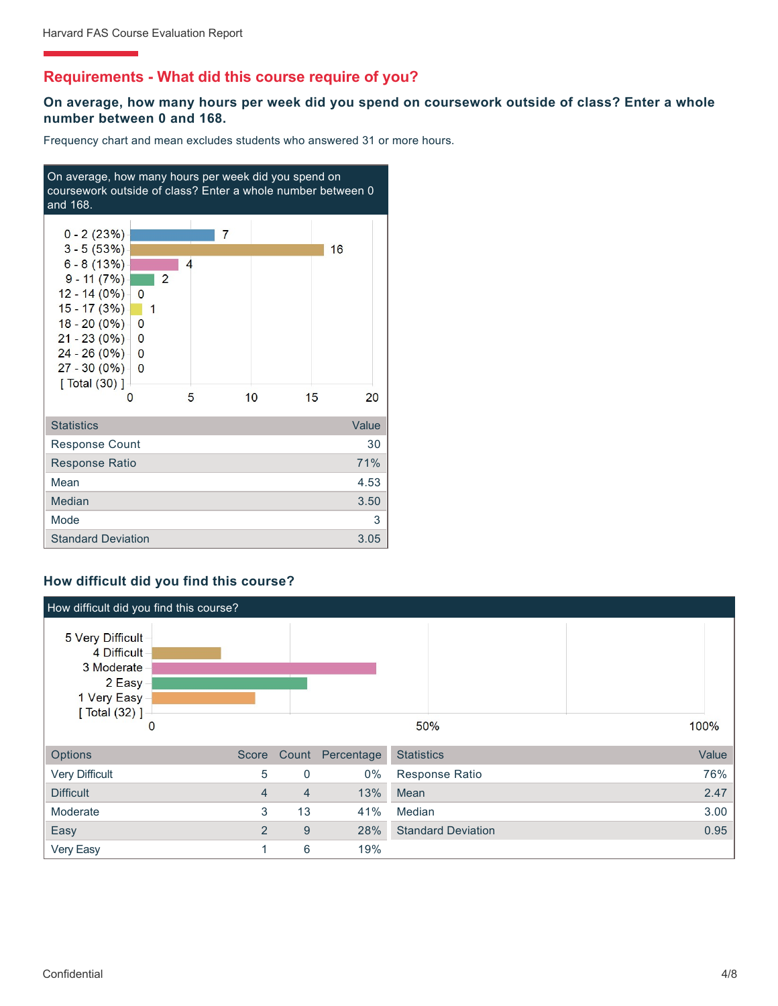# **Requirements - What did this course require of you?**

### **On average, how many hours per week did you spend on coursework outside of class? Enter a whole number between 0 and 168.**

Frequency chart and mean excludes students who answered 31 or more hours.



### **How difficult did you find this course?**

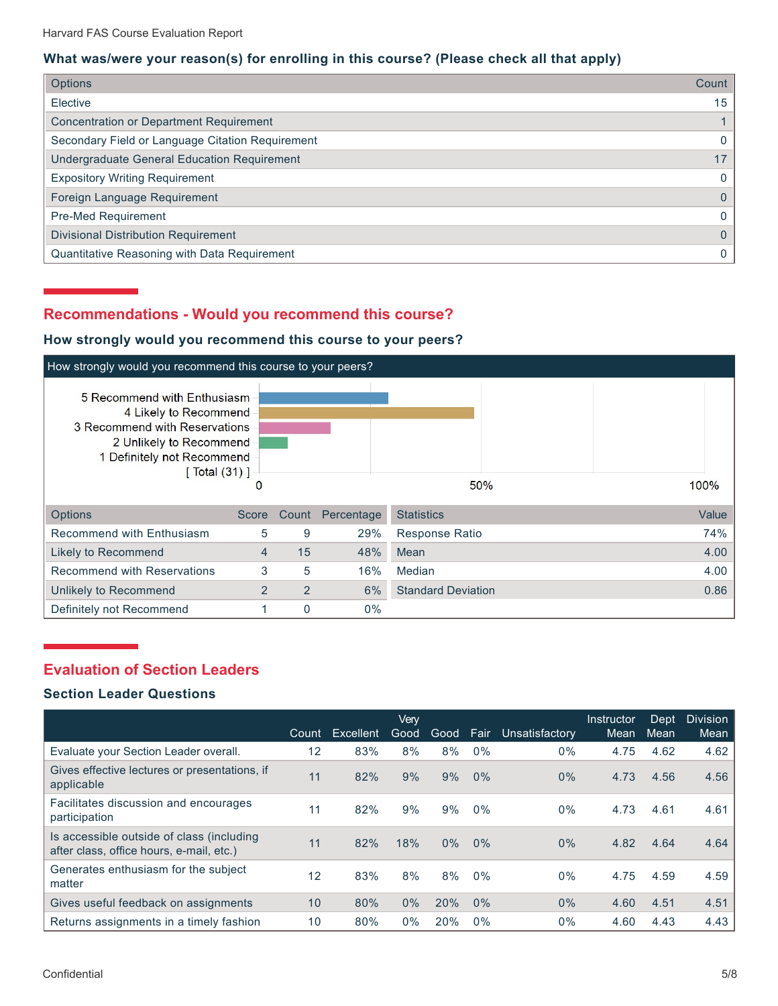### **What was/were your reason(s) for enrolling in this course? (Please check all that apply)**

| <b>Options</b>                                   | Count |
|--------------------------------------------------|-------|
| Elective                                         | 15    |
| <b>Concentration or Department Requirement</b>   |       |
| Secondary Field or Language Citation Requirement | 0     |
| Undergraduate General Education Requirement      | 17    |
| <b>Expository Writing Requirement</b>            | 0     |
| Foreign Language Requirement                     | 0     |
| Pre-Med Requirement                              | 0     |
| <b>Divisional Distribution Requirement</b>       | 0     |
| Quantitative Reasoning with Data Requirement     |       |

# **Recommendations - Would you recommend this course?**

### **How strongly would you recommend this course to your peers?**



# **Evaluation of Section Leaders**

### **Section Leader Questions**

|                                                                                       | Count | Excellent | Verv<br>Good | Good  | Fair  | Unsatisfactory | Instructor<br>Mean | Dept<br>Mean | <b>Division</b><br>Mean |
|---------------------------------------------------------------------------------------|-------|-----------|--------------|-------|-------|----------------|--------------------|--------------|-------------------------|
| Evaluate your Section Leader overall.                                                 | 12    | 83%       | 8%           | 8%    | 0%    | $0\%$          | 4.75               | 4.62         | 4.62                    |
| Gives effective lectures or presentations, if<br>applicable                           | 11    | 82%       | 9%           | 9%    | 0%    | $0\%$          | 4.73               | 4.56         | 4.56                    |
| Facilitates discussion and encourages<br>participation                                | 11    | 82%       | 9%           | 9%    | 0%    | $0\%$          | 4.73               | 4.61         | 4.61                    |
| Is accessible outside of class (including<br>after class, office hours, e-mail, etc.) | 11    | 82%       | 18%          | $0\%$ | 0%    | $0\%$          | 4.82               | 4.64         | 4.64                    |
| Generates enthusiasm for the subject<br>matter                                        | 12    | 83%       | 8%           | 8%    | $0\%$ | $0\%$          | 4.75               | 4.59         | 4.59                    |
| Gives useful feedback on assignments                                                  | 10    | 80%       | $0\%$        | 20%   | 0%    | $0\%$          | 4.60               | 4.51         | 4.51                    |
| Returns assignments in a timely fashion                                               | 10    | 80%       | $0\%$        | 20%   | $0\%$ | $0\%$          | 4.60               | 4.43         | 4.43                    |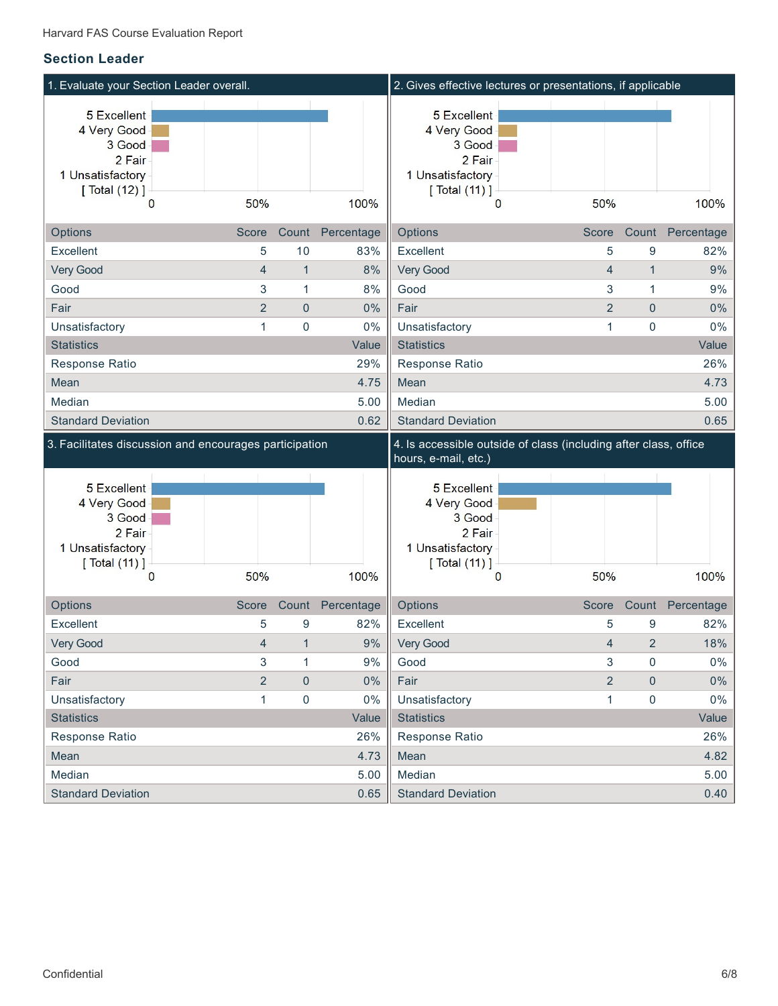### **Section Leader**

| 1. Evaluate your Section Leader overall.                                             |                |              |              | 2. Gives effective lectures or presentations, if applicable                                 |                |                |                  |
|--------------------------------------------------------------------------------------|----------------|--------------|--------------|---------------------------------------------------------------------------------------------|----------------|----------------|------------------|
| 5 Excellent<br>4 Very Good<br>3 Good<br>2 Fair<br>1 Unsatisfactory<br>[ Total (12) ] |                |              |              | 5 Excellent<br>4 Very Good<br>3 Good<br>2 Fair<br>1 Unsatisfactory<br>[ Total (11) ]        |                |                |                  |
| $\mathbf{0}$                                                                         | 50%            |              | 100%         | $\bf{0}$                                                                                    | 50%            |                | 100%             |
| Options                                                                              | Score          | Count        | Percentage   | Options                                                                                     | Score          | Count          | Percentage       |
| Excellent                                                                            | 5              | 10           | 83%          | Excellent                                                                                   | 5              | 9              | 82%              |
| Very Good                                                                            | $\overline{4}$ | $\mathbf{1}$ | 8%           | Very Good                                                                                   | $\overline{4}$ | $\mathbf{1}$   | 9%               |
| Good                                                                                 | 3              | 1            | 8%           | Good                                                                                        | 3              | $\mathbf{1}$   | 9%               |
| Fair                                                                                 | $\overline{2}$ | $\mathbf 0$  | 0%           | Fair                                                                                        | $\overline{2}$ | $\mathbf{0}$   | 0%               |
| Unsatisfactory                                                                       | 1              | $\mathbf 0$  | 0%           | Unsatisfactory                                                                              | $\mathbf{1}$   | 0              | 0%               |
| <b>Statistics</b>                                                                    |                |              | Value        | <b>Statistics</b>                                                                           |                |                | Value            |
| Response Ratio                                                                       |                |              | 29%          | Response Ratio                                                                              |                |                | 26%              |
| Mean                                                                                 |                |              | 4.75         | Mean                                                                                        |                |                | 4.73             |
| Median                                                                               |                |              | 5.00         | Median                                                                                      |                |                | 5.00             |
| <b>Standard Deviation</b>                                                            |                |              | 0.62         | <b>Standard Deviation</b>                                                                   |                |                | 0.65             |
|                                                                                      |                |              |              |                                                                                             |                |                |                  |
| 3. Facilitates discussion and encourages participation                               |                |              |              | 4. Is accessible outside of class (including after class, office<br>hours, e-mail, etc.)    |                |                |                  |
| 5 Excellent<br>4 Very Good<br>3 Good<br>2 Fair<br>1 Unsatisfactory<br>[ Total (11) ] |                |              |              | <b>5 Excellent</b><br>4 Very Good<br>3 Good<br>2 Fair<br>1 Unsatisfactory<br>[ Total (11) ] |                |                |                  |
| $\mathbf{0}$                                                                         | 50%            |              | 100%         | $\bf{0}$                                                                                    | 50%            |                | 100%             |
| Options                                                                              | Score          | Count        | Percentage   | Options                                                                                     | Score          |                | Count Percentage |
| Excellent                                                                            | 5              | 9            | 82%          | Excellent                                                                                   | 5              | 9              | 82%              |
| Very Good                                                                            | 4              | $\mathbf 1$  | $9%$         | Very Good                                                                                   | 4              | $\overline{2}$ | 18%              |
| Good                                                                                 | 3              | 1            | 9%           | Good                                                                                        | 3              | 0              | $0\%$            |
| Fair                                                                                 | $\overline{2}$ | $\pmb{0}$    | 0%           | Fair                                                                                        | $\overline{2}$ | $\mathbf{0}$   | $0\%$            |
| Unsatisfactory                                                                       | $\mathbf{1}$   | 0            | 0%           | Unsatisfactory                                                                              | 1              | 0              | $0\%$            |
| <b>Statistics</b>                                                                    |                |              | Value        | <b>Statistics</b>                                                                           |                |                | Value            |
| Response Ratio                                                                       |                |              | 26%          | Response Ratio                                                                              |                |                | 26%              |
| Mean                                                                                 |                |              | 4.73         | Mean                                                                                        |                |                | 4.82             |
| Median<br><b>Standard Deviation</b>                                                  |                |              | 5.00<br>0.65 | Median<br><b>Standard Deviation</b>                                                         |                |                | 5.00<br>0.40     |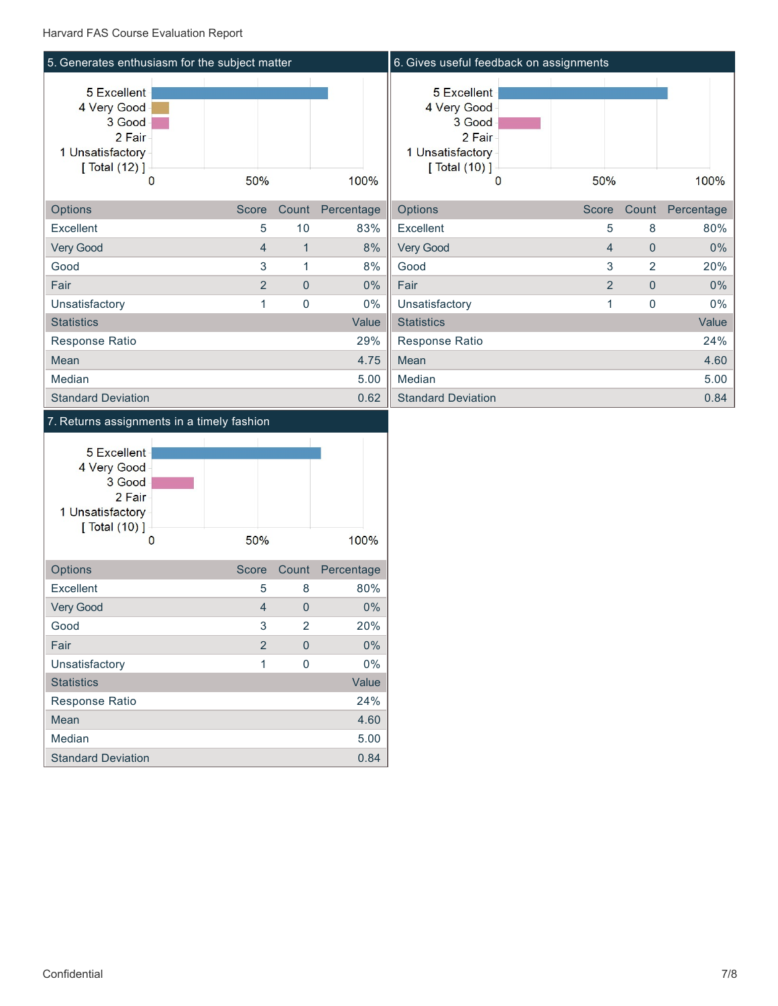

### 7. Returns assignments in a timely fashion

| <b>5 Excellent</b><br>4 Very Good<br>3 Good<br>2 Fair-<br>1 Unsatisfactory<br>$\lceil$ Total $(10)$ $\rceil$<br>0 | 50%            |                | 100%       |
|-------------------------------------------------------------------------------------------------------------------|----------------|----------------|------------|
| Options                                                                                                           | <b>Score</b>   | Count          | Percentage |
| Excellent                                                                                                         | 5              | 8              | 80%        |
| <b>Very Good</b>                                                                                                  | $\overline{4}$ | $\Omega$       | 0%         |
| Good                                                                                                              | 3              | $\overline{2}$ | 20%        |
| Fair                                                                                                              | $\overline{2}$ | O              | 0%         |
| Unsatisfactory                                                                                                    | 1              | $\Omega$       | $0\%$      |
| <b>Statistics</b>                                                                                                 |                |                | Value      |
| Response Ratio                                                                                                    |                |                | 24%        |
| Mean                                                                                                              |                |                | 4.60       |
| Median                                                                                                            |                |                | 5.00       |
| <b>Standard Deviation</b>                                                                                         |                |                | 0.84       |